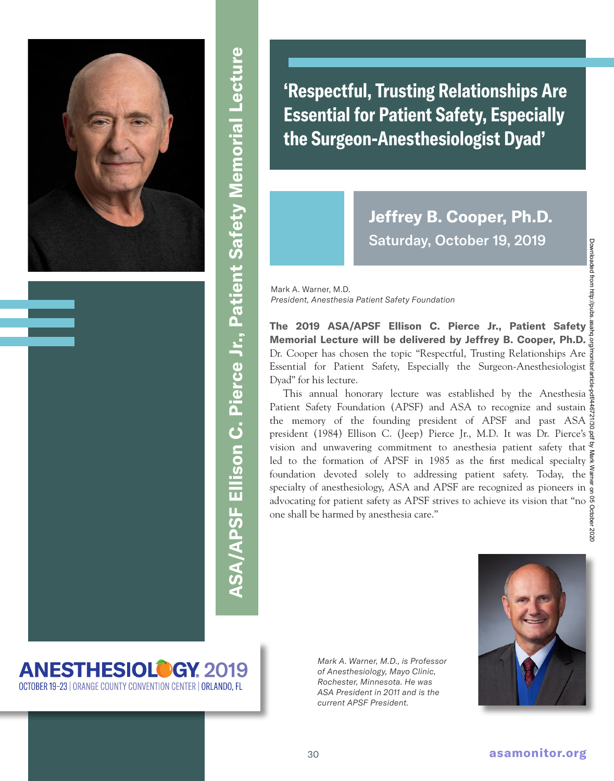

**ASA/APSF Ellison C. Pierce Jr., Patient Safety Memorial Lecture ASA/APSF Ellison C. Pierce Jr., Patient Safety Memorial Lecture**

**'Respectful, Trusting Relationships Are Essential for Patient Safety, Especially the Surgeon-Anesthesiologist Dyad'**

## **Jeffrey B. Cooper, Ph.D.**  Saturday, October 19, 2019

Mark A. Warner, M.D. *President, Anesthesia Patient Safety Foundation*

**The 2019 ASA/APSF Ellison C. Pierce Jr., Patient Safety Memorial Lecture will be delivered by Jeffrey B. Cooper, Ph.D.**  Dr. Cooper has chosen the topic "Respectful, Trusting Relationships Are  $\frac{1}{5}$ Essential for Patient Safety, Especially the Surgeon-Anesthesiologist Dyad" for his lecture.

This annual honorary lecture was established by the Anesthesia Patient Safety Foundation (APSF) and ASA to recognize and sustain  $\frac{5}{6}$ the memory of the founding president of APSF and past ASA  $\frac{8}{6}$ president (1984) Ellison C. (Jeep) Pierce Jr., M.D. It was Dr. Pierce's  $\frac{8}{9}$ vision and unwavering commitment to anesthesia patient safety that led to the formation of APSF in 1985 as the first medical specialty  $\frac{4}{7}$ foundation devoted solely to addressing patient safety. Today, the specialty of anesthesiology, ASA and APSF are recognized as pioneers in advocating for patient safety as APSF strives to achieve its vision that "no one shall be harmed by anesthesia care."

## **ANESTHESIOLOGY 2019** OCTOBER 19-23 | ORANGE COUNTY CONVENTION CENTER | ORLANDO, FL

*Mark A. Warner, M.D., is Professor of Anesthesiology, Mayo Clinic, Rochester, Minnesota. He was ASA President in 2011 and is the current APSF President.*